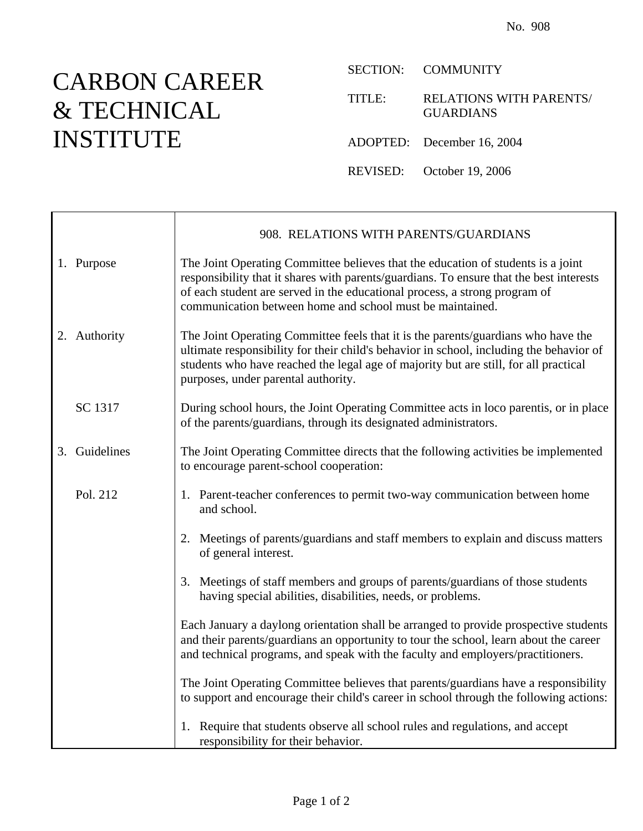## CARBON CAREER & TECHNICAL INSTITUTE

SECTION: COMMUNITY

TITLE: RELATIONS WITH PARENTS/ GUARDIANS

ADOPTED: December 16, 2004

REVISED: October 19, 2006

|               | 908. RELATIONS WITH PARENTS/GUARDIANS                                                                                                                                                                                                                                                                                  |
|---------------|------------------------------------------------------------------------------------------------------------------------------------------------------------------------------------------------------------------------------------------------------------------------------------------------------------------------|
| 1. Purpose    | The Joint Operating Committee believes that the education of students is a joint<br>responsibility that it shares with parents/guardians. To ensure that the best interests<br>of each student are served in the educational process, a strong program of<br>communication between home and school must be maintained. |
| 2. Authority  | The Joint Operating Committee feels that it is the parents/guardians who have the<br>ultimate responsibility for their child's behavior in school, including the behavior of<br>students who have reached the legal age of majority but are still, for all practical<br>purposes, under parental authority.            |
| SC 1317       | During school hours, the Joint Operating Committee acts in loco parentis, or in place<br>of the parents/guardians, through its designated administrators.                                                                                                                                                              |
| 3. Guidelines | The Joint Operating Committee directs that the following activities be implemented<br>to encourage parent-school cooperation:                                                                                                                                                                                          |
| Pol. 212      | 1. Parent-teacher conferences to permit two-way communication between home<br>and school.                                                                                                                                                                                                                              |
|               | 2. Meetings of parents/guardians and staff members to explain and discuss matters<br>of general interest.                                                                                                                                                                                                              |
|               | 3. Meetings of staff members and groups of parents/guardians of those students<br>having special abilities, disabilities, needs, or problems.                                                                                                                                                                          |
|               | Each January a daylong orientation shall be arranged to provide prospective students<br>and their parents/guardians an opportunity to tour the school, learn about the career<br>and technical programs, and speak with the faculty and employers/practitioners.                                                       |
|               | The Joint Operating Committee believes that parents/guardians have a responsibility<br>to support and encourage their child's career in school through the following actions:                                                                                                                                          |
|               | 1. Require that students observe all school rules and regulations, and accept<br>responsibility for their behavior.                                                                                                                                                                                                    |